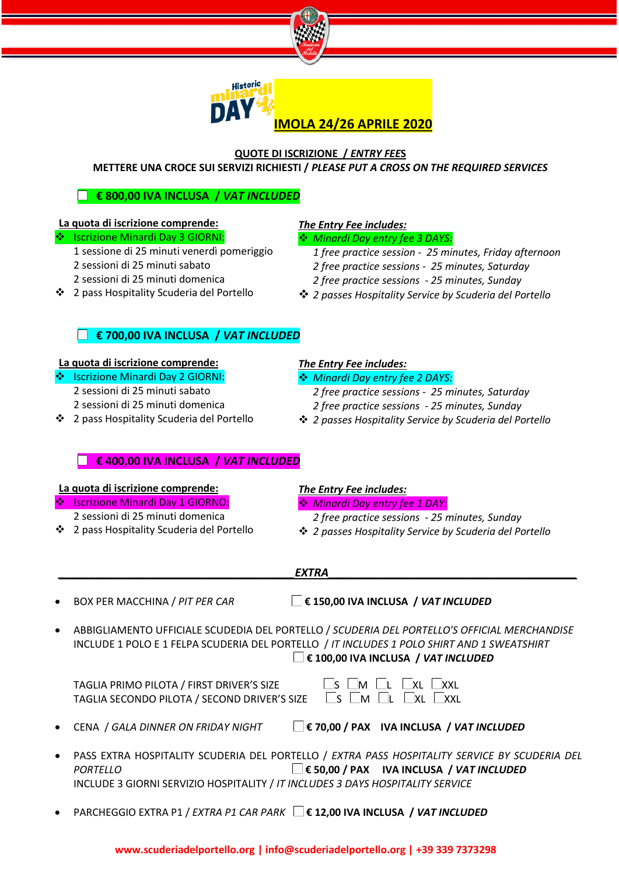



#### **QUOTE DI ISCRIZIONE /** *ENTRY FEE***S METTERE UNA CROCE SUI SERVIZI RICHIESTI /** *PLEASE PUT A CROSS ON THE REQUIRED SERVICES*

#### **€ 800,00 IVA INCLUSA /** *VAT INCLUDED*

## **La quota di iscrizione comprende:**

- ❖ Iscrizione Minardi Day 3 GIORNI:
	- 1 sessione di 25 minuti venerdì pomeriggio
	- 2 sessioni di 25 minuti sabato 2 sessioni di 25 minuti domenica
- 2 pass Hospitality Scuderia del Portello

#### *The Entry Fee includes:*

#### *Minardi Day entry fee 3 DAYS:*

- *1 free practice session - 25 minutes, Friday afternoon*
- *2 free practice sessions - 25 minutes, Saturday*
- *2 free practice sessions - 25 minutes, Sunday*
- *2 passes Hospitality Service by Scuderia del Portello*

#### **€ 700,00 IVA INCLUSA /** *VAT INCLUDED*

#### **La quota di iscrizione comprende:**

- ❖ Iscrizione Minardi Day 2 GIORNI: 2 sessioni di 25 minuti sabato 2 sessioni di 25 minuti domenica
- 2 pass Hospitality Scuderia del Portello

#### *The Entry Fee includes:*

- *Minardi Day entry fee 2 DAYS:*
	- *2 free practice sessions - 25 minutes, Saturday 2 free practice sessions - 25 minutes, Sunday*
- *2 passes Hospitality Service by Scuderia del Portello*

#### **€ 400,00 IVA INCLUSA /** *VAT INCLUDED*

#### **La quota di iscrizione comprende:**

- Iscrizione Minardi Day 1 GIORNO:
- 2 sessioni di 25 minuti domenica
- 2 pass Hospitality Scuderia del Portello

#### *The Entry Fee includes:*

- *Minardi Day entry fee 1 DAY:*
	- *2 free practice sessions - 25 minutes, Sunday*
- *2 passes Hospitality Service by Scuderia del Portello*
- *\_\_\_\_\_\_\_\_\_\_\_\_\_\_\_\_\_\_\_\_\_\_\_\_\_\_\_\_\_\_\_\_\_\_\_\_\_\_EXTRA\_\_\_\_\_\_\_\_\_\_\_\_\_\_\_\_\_\_\_\_\_\_\_\_\_\_\_\_\_\_\_\_\_\_\_\_\_\_\_\_*

• BOX PER MACCHINA / *PIT PER CAR* **€ 150,00 IVA INCLUSA /** *VAT INCLUDED*

• ABBIGLIAMENTO UFFICIALE SCUDEDIA DEL PORTELLO / *SCUDERIA DEL PORTELLO'S OFFICIAL MERCHANDISE* INCLUDE 1 POLO E 1 FELPA SCUDERIA DEL PORTELLO / *IT INCLUDES 1 POLO SHIRT AND 1 SWEATSHIRT* **€ 100,00 IVA INCLUSA /** *VAT INCLUDED*

| TAGLIA PRIMO PILOTA / FIRST DRIVER'S SIZE                      | $\square$ s $\square$ m $\square$ l $\square$ xl $\square$ xxl |
|----------------------------------------------------------------|----------------------------------------------------------------|
| TAGLIA SECONDO PILOTA / SECOND DRIVER'S SIZE S SIM EL EXL EXXL |                                                                |

- 
- CENA / *GALA DINNER ON FRIDAY NIGHT* **€ 70,00 / PAX IVA INCLUSA /** *VAT INCLUDED*
- PASS EXTRA HOSPITALITY SCUDERIA DEL PORTELLO / *EXTRA PASS HOSPITALITY SERVICE BY SCUDERIA DEL PORTELLO* **€ 50,00 / PAX IVA INCLUSA /** *VAT INCLUDED*  INCLUDE 3 GIORNI SERVIZIO HOSPITALITY / *IT INCLUDES 3 DAYS HOSPITALITY SERVICE*
- PARCHEGGIO EXTRA P1 / *EXTRA P1 CAR PARK* **€ 12,00 IVA INCLUSA /** *VAT INCLUDED*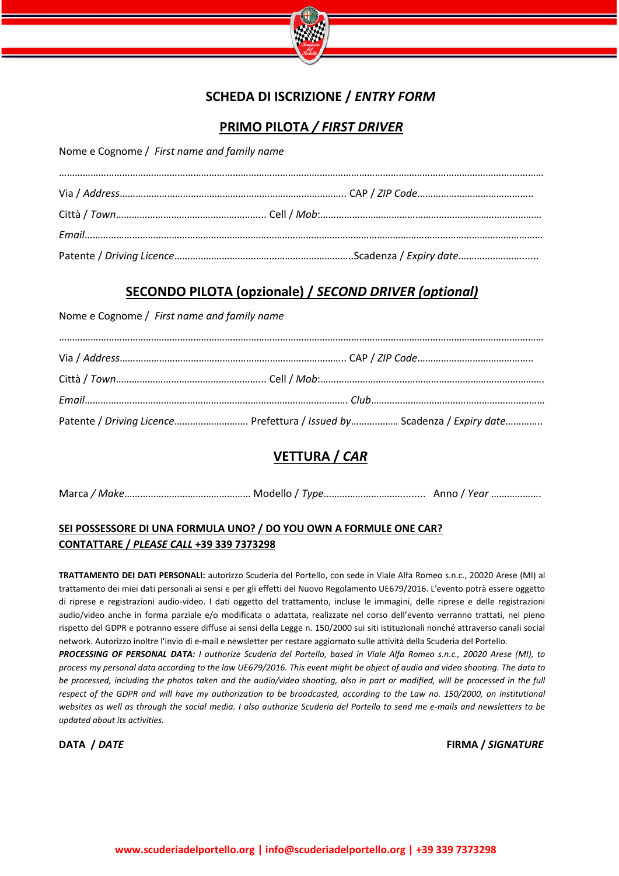

## **SCHEDA DI ISCRIZIONE /** *ENTRY FORM*

### **PRIMO PILOTA** */ FIRST DRIVER*

Nome e Cognome / *First name and family name*

## **SECONDO PILOTA (opzionale) /** *SECOND DRIVER (optional)*

Nome e Cognome / *First name and family name*

| Patente / Driving Licence Prefettura / Issued by Scadenza / Expiry date |
|-------------------------------------------------------------------------|

## **VETTURA /** *CAR*

Marca */ Make*………………………………………… Modello / *Type*…………………………........ Anno / *Year* ……………….

#### **SEI POSSESSORE DI UNA FORMULA UNO? / DO YOU OWN A FORMULE ONE CAR? CONTATTARE /** *PLEASE CALL* **+39 339 7373298**

**TRATTAMENTO DEI DATI PERSONALI:** autorizzo Scuderia del Portello, con sede in Viale Alfa Romeo s.n.c., 20020 Arese (MI) al trattamento dei miei dati personali ai sensi e per gli effetti del Nuovo Regolamento UE679/2016. L'evento potrà essere oggetto di riprese e registrazioni audio-video. I dati oggetto del trattamento, incluse le immagini, delle riprese e delle registrazioni audio/video anche in forma parziale e/o modificata o adattata, realizzate nel corso dell'evento verranno trattati, nel pieno rispetto del GDPR e potranno essere diffuse ai sensi della Legge n. 150/2000 sui siti istituzionali nonché attraverso canali social network. Autorizzo inoltre l'invio di e-mail e newsletter per restare aggiornato sulle attività della Scuderia del Portello.

*PROCESSING OF PERSONAL DATA: I authorize Scuderia del Portello, based in Viale Alfa Romeo s.n.c., 20020 Arese (MI), to process my personal data according to the law UE679/2016. This event might be object of audio and video shooting. The data to be processed, including the photos taken and the audio/video shooting, also in part or modified, will be processed in the full respect of the GDPR and will have my authorization to be broadcasted, according to the Law no. 150/2000, on institutional websites as well as through the social media. I also authorize Scuderia del Portello to send me e-mails and newsletters to be updated about its activities.*

**DATA /** *DATE* **FIRMA /** *SIGNATURE*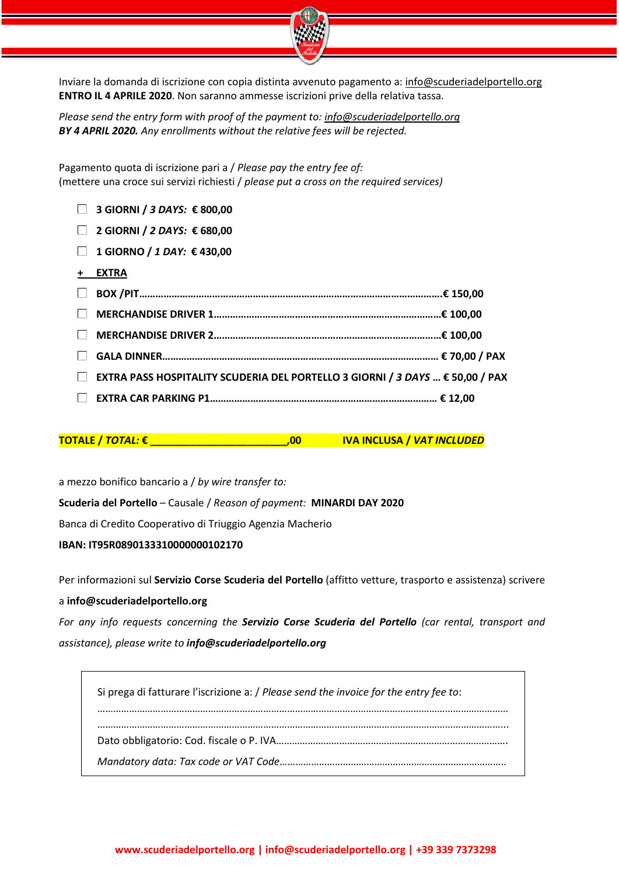

Inviare la domanda di iscrizione con copia distinta avvenuto pagamento a: [info@scuderiadelportello.org](mailto:info@scuderiadelportello.org) **ENTRO IL 4 APRILE 2020**. Non saranno ammesse iscrizioni prive della relativa tassa.

*Please send the entry form with proof of the payment to: [info@scuderiadelportello.org](mailto:info@scuderiadelportello.org) BY 4 APRIL 2020. Any enrollments without the relative fees will be rejected.*

Pagamento quota di iscrizione pari a / *Please pay the entry fee of:* (mettere una croce sui servizi richiesti / *please put a cross on the required services)*

- **3 GIORNI /** *3 DAYS:* **€ 800,00**
- **2 GIORNI /** *2 DAYS:* **€ 680,00**
- **1 GIORNO /** *1 DAY:* **€ 430,00**
- **+ EXTRA**

| <b>□ EXTRA PASS HOSPITALITY SCUDERIA DEL PORTELLO 3 GIORNI / 3 DAYS  € 50,00 / PAX</b> |  |
|----------------------------------------------------------------------------------------|--|
|                                                                                        |  |

**TOTALE /** *TOTAL:* **€ \_\_\_\_\_\_\_\_\_\_\_\_\_\_\_\_\_\_\_\_\_\_\_\_,00 IVA INCLUSA /** *VAT INCLUDED*

a mezzo bonifico bancario a / *by wire transfer to:* 

**Scuderia del Portello** – Causale / *Reason of payment:* **MINARDI DAY 2020**

Banca di Credito Cooperativo di Triuggio Agenzia Macherio

**IBAN: IT95R0890133310000000102170** 

Per informazioni sul **Servizio Corse Scuderia del Portello** (affitto vetture, trasporto e assistenza) scrivere a **info@scuderiadelportello.org**

*For any info requests concerning the Servizio Corse Scuderia del Portello (car rental, transport and assistance), please write to [info@scuderiadelportello.org](mailto:info@scuderiadelportello.org)*

 Si prega di fatturare l'iscrizione a: / *Please send the invoice for the entry fee to*: ………………………………………………………………………………………………………………………………………… ………………………………………………………………………………………………………………………………………... Dato obbligatorio: Cod. fiscale o P. IVA……………………………………………………………………………. *Mandatory data: Tax code or VAT Code*…………………………………………………………………………..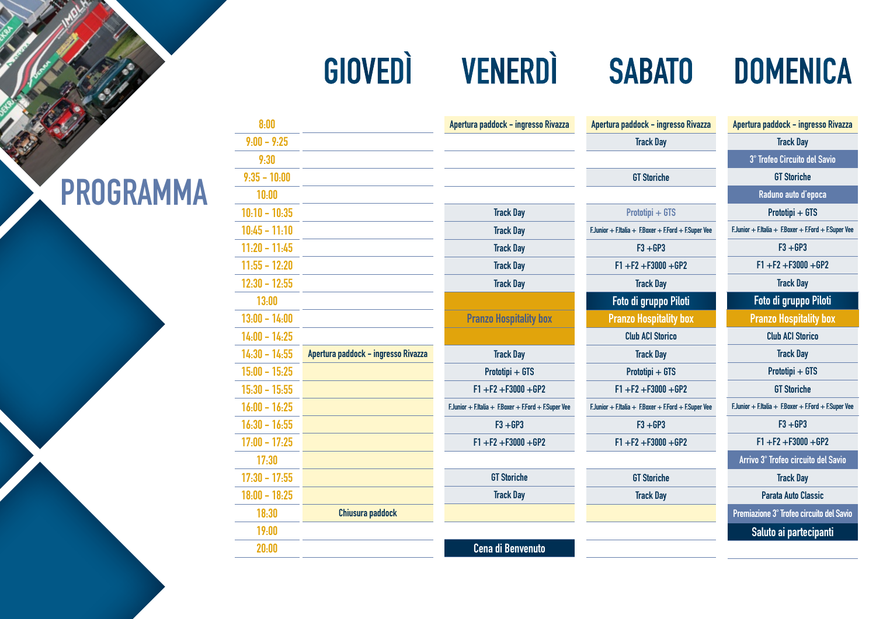# **GIOVEDÌ VENERDÌ SABATO DOMENICA**

|            | Apertura paddock - ingresso Rivazza                  | Apertura paddock - ingresso Rivazza                  | Apertura paddock - ingresso Rivazza                  |
|------------|------------------------------------------------------|------------------------------------------------------|------------------------------------------------------|
|            |                                                      | <b>Track Day</b>                                     | <b>Track Day</b>                                     |
|            |                                                      |                                                      | 3° Trofeo Circuito del Savio                         |
|            |                                                      | <b>GT Storiche</b>                                   | <b>GT Storiche</b>                                   |
|            |                                                      |                                                      | Raduno auto d'epoca                                  |
|            | <b>Track Day</b>                                     | Prototipi + GTS                                      | Prototipi + GTS                                      |
|            | <b>Track Day</b>                                     | F.Junior + F.Italia + F.Boxer + F.Ford + F.Super Vee | F.Junior + F.Italia + F.Boxer + F.Ford + F.Super Vee |
|            | <b>Track Day</b>                                     | $F3 + GP3$                                           | $F3 + GP3$                                           |
|            | <b>Track Day</b>                                     | $F1 + F2 + F3000 + GP2$                              | $F1 + F2 + F3000 + GP2$                              |
|            | <b>Track Day</b>                                     | <b>Track Day</b>                                     | <b>Track Day</b>                                     |
|            |                                                      | Foto di gruppo Piloti                                | Foto di gruppo Piloti                                |
|            | <b>Pranzo Hospitality box</b>                        | <b>Pranzo Hospitality box</b>                        | <b>Pranzo Hospitality box</b>                        |
|            |                                                      | <b>Club ACI Storico</b>                              | <b>Club ACI Storico</b>                              |
| so Rivazza | <b>Track Day</b>                                     | <b>Track Day</b>                                     | <b>Track Day</b>                                     |
|            | Prototipi + GTS                                      | Prototipi + GTS                                      | Prototipi + GTS                                      |
|            | $F1 + F2 + F3000 + GP2$                              | $F1 + F2 + F3000 + GP2$                              | <b>GT Storiche</b>                                   |
|            | F.Junior + F.Italia + F.Boxer + F.Ford + F.Super Vee | F.Junior + F.Italia + F.Boxer + F.Ford + F.Super Vee | F.Junior + F.Italia + F.Boxer + F.Ford + F.Super Vee |
|            | $F3 + GP3$                                           | $F3 + GP3$                                           | $F3 + GP3$                                           |
|            | $F1 + F2 + F3000 + GP2$                              | $F1 + F2 + F3000 + GP2$                              | $F1 + F2 + F3000 + GP2$                              |
|            |                                                      |                                                      | Arrivo 3° Trofeo circuito del Savio                  |
|            | <b>GT Storiche</b>                                   | <b>GT Storiche</b>                                   | <b>Track Day</b>                                     |
|            | <b>Track Day</b>                                     | <b>Track Day</b>                                     | <b>Parata Auto Classic</b>                           |
| k          |                                                      |                                                      | Premiazione 3° Trofeo circuito del Savio             |
|            |                                                      |                                                      | Saluto ai partecipanti                               |
|            | <b>Cena di Benvenuto</b>                             |                                                      |                                                      |

| 10:00           |                                     |
|-----------------|-------------------------------------|
| $10:10 - 10:35$ |                                     |
| $10:45 - 11:10$ |                                     |
| $11:20 - 11:45$ |                                     |
| $11:55 - 12:20$ |                                     |
| $12:30 - 12:55$ |                                     |
| 13:00           |                                     |
| $13:00 - 14:00$ |                                     |
| $14:00 - 14:25$ |                                     |
| $14:30 - 14:55$ | Apertura paddock - ingresso Rivazza |
| $15:00 - 15:25$ |                                     |
| $15:30 - 15:55$ |                                     |
| $16:00 - 16:25$ |                                     |
| $16:30 - 16:55$ |                                     |
| $17:00 - 17:25$ |                                     |
| 17:30           |                                     |
| $17:30 - 17:55$ |                                     |
| $18:00 - 18:25$ |                                     |
| 18:30           | <b>Chiusura paddock</b>             |
| 19:00           |                                     |
| 20:00           |                                     |
|                 |                                     |

**8:00 9:00 - 9:25 9:30 9:35 - 10:00**

## **PROGRAMMA**